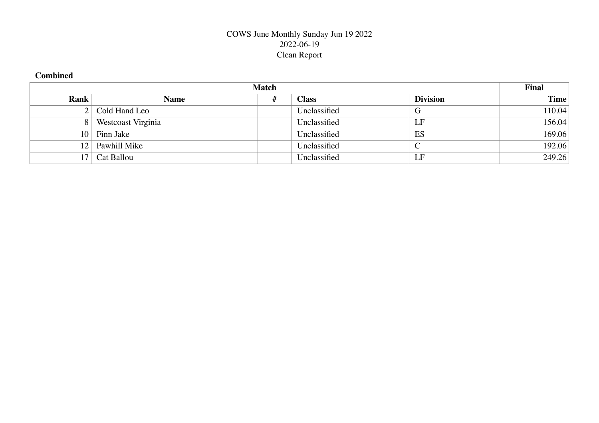# COWS June Monthly Sunday Jun 19 2022 2022-06-19 Clean Report

## **Combined**

|                 |                    | <b>Match</b> |              |                 | <b>Final</b> |
|-----------------|--------------------|--------------|--------------|-----------------|--------------|
| Rank            | <b>Name</b>        | #            | <b>Class</b> | <b>Division</b> | <b>Time</b>  |
|                 | 2 Cold Hand Leo    |              | Unclassified | G               | 110.04       |
|                 | Westcoast Virginia |              | Unclassified | LF              | 156.04       |
| 10 <sup>1</sup> | Finn Jake          |              | Unclassified | ES              | 169.06       |
| 12              | Pawhill Mike       |              | Unclassified |                 | 192.06       |
|                 | Cat Ballou         |              | Unclassified | LF              | 249.26       |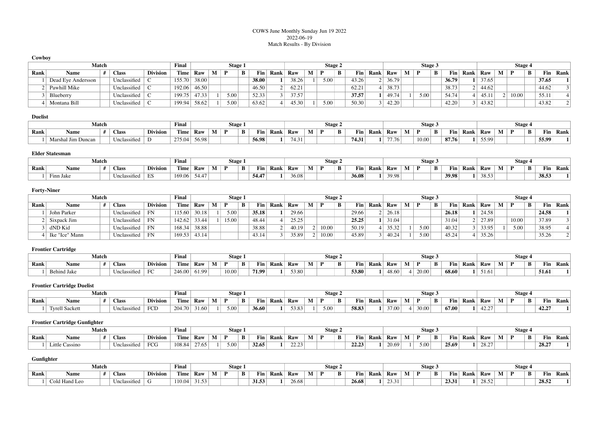### COWS June Monthly Sunday Jun 19 2022 2022-06-19 Match Results - By Division

| Cowbov      |                    |              |                 |             |       |   |         |   |       |      |       |         |      |   |       |      |       |   |         |   |                  |      |       |         |       |   |                  |      |
|-------------|--------------------|--------------|-----------------|-------------|-------|---|---------|---|-------|------|-------|---------|------|---|-------|------|-------|---|---------|---|------------------|------|-------|---------|-------|---|------------------|------|
|             | Match              |              | Final           |             |       |   | Stage 1 |   |       |      |       | Stage 2 |      |   |       |      |       |   | Stage 3 |   |                  |      |       | Stage 4 |       |   |                  |      |
| <b>Rank</b> | Name               | <b>Class</b> | <b>Division</b> | <b>Time</b> | Raw   | M | D       | в | Fin.  | Rank | Raw   | M       | D    | B | Fin   | Rank | Raw   | М | D       | B | Fin <sub>1</sub> | Rank | Raw   | M       | D     | B | Fin <sub>1</sub> | Rank |
|             | Dead Eye Andersson | Unclassified |                 | 155.70      | 38.00 |   |         |   | 38.00 |      | 38.26 |         | 5.00 |   | 43.26 |      | 36.79 |   |         |   | 36.79            |      | 37.65 |         |       |   | 37.65            |      |
|             | Pawhill Mike       | Unclassified |                 | 192.06      | 46.50 |   |         |   | 46.50 |      | 62.21 |         |      |   | 62.21 |      | 38.73 |   |         |   | 38.73            |      | 44.62 |         |       |   | 44.62            |      |
|             | Blueberry          | Unclassified |                 | 199.75      | 47.33 |   | 5.00    |   | 52.33 |      | 37.57 |         |      |   | 37.57 |      | 49.74 |   | 5.00    |   | 54.74            |      | 45.11 |         | 10.00 |   | 55.11            |      |
|             | Montana Bill       | Unclassified |                 | 199.94      | 58.62 |   | 5.00    |   | 63.62 |      | 45.30 |         | 5.00 |   | 50.30 |      | 42.20 |   |         |   | 42.20            |      | 43.82 |         |       |   | 43.82            |      |

### **Duelist**

|      | Match                |              | Final          |        |       |          | Stage 1      |   |                     |      |     |       | Stage 4 |   |                   |      | Stage:  |       |   |                     |      |       | <b>Stage</b>      |   |       |      |
|------|----------------------|--------------|----------------|--------|-------|----------|--------------|---|---------------------|------|-----|-------|---------|---|-------------------|------|---------|-------|---|---------------------|------|-------|-------------------|---|-------|------|
| Rank | Name                 | <b>Class</b> | <b>Divisio</b> | Time   | Raw   | <b>B</b> | $\mathbf{r}$ | B | $\mathbf{r}$<br>a m | Rank | Raw | W.    | n       | B | $\mathbf{r}$<br>. | Rank | Raw     |       | В | $\mathbf{H}$<br>Fın | Rank | Raw   | <b>B</b> <i>A</i> | B | Fin   | Rank |
|      | Jim Duncan<br>Marsha | Unclassified |                | 275.04 | 56.98 |          |              |   | 56.98               |      |     | 74.31 |         |   | 74.31             |      | $- - -$ | 10.00 |   | 87.76               |      | 55.99 |                   |   | 55.99 |      |

#### **Elder Statesman**

|      | Match     | Final        |                 |                |           | Stage 1 |              |   |       |             | Stage 2 |  |   |                       |      | Stage. |                   |   |       | <b>Stage</b> |       |  |   |       |      |
|------|-----------|--------------|-----------------|----------------|-----------|---------|--------------|---|-------|-------------|---------|--|---|-----------------------|------|--------|-------------------|---|-------|--------------|-------|--|---|-------|------|
| Rank | Name      | <b>Class</b> | <b>Division</b> | rane.<br>l'ime | Raw       | М       | <sup>n</sup> | B | Fin   | <b>Rank</b> | Raw     |  | B | $\mathbf{r}$<br>l' In | Rank | Raw    | <b>B</b> <i>B</i> | B | Fin   | Rank         | Raw   |  | B | Fin   | Rank |
|      | Finn Jake | Unclassified |                 | 169.06         | $54.47 +$ |         |              |   | 54.47 |             | 36.08   |  |   | 36.08                 |      | 39.98  |                   |   | 39.98 |              | 38.53 |  |   | 38.53 |      |

### **Forty-Niner**

|      | Match          |  |              |                 |        |      |              |   |       | Stage 1 |       |             |     |       | Stage 2 |   |       |      |       | Stage 3 |       |             |       | Stage 4 |          |      |
|------|----------------|--|--------------|-----------------|--------|------|--------------|---|-------|---------|-------|-------------|-----|-------|---------|---|-------|------|-------|---------|-------|-------------|-------|---------|----------|------|
| Rank | Name           |  | <b>Class</b> | <b>Division</b> |        | Time | Raw          | M | D     | B       | Fin   | <b>Rank</b> | Raw |       |         | В | Fin   | Rank | Raw   | B       | Fin   | <b>Rank</b> | Raw   |         | Fin<br>B | Rank |
|      | John Parker    |  | Unclassified | FN              | 115.60 |      | 30.18        |   | 5.00  |         | 35.18 |             |     | 29.66 |         |   | 29.66 |      | 26.18 |         | 26.18 |             | 24.58 |         | 24.58    |      |
|      | Sixpack Jim    |  | Unclassified | FN              | 142.62 |      | 33.44        |   | 15.00 |         | 48.44 |             |     | 25.25 |         |   | 25.25 |      | 31.04 |         | 31.04 |             | 27.89 | 10.00   | 37.89    |      |
|      | dND Kid        |  | Unclassified | FN              | 168.34 |      | 38.88        |   |       |         | 38.88 |             |     | 40.19 | 10.00   |   | 50.19 |      | 35.32 | 5.00    | 40.32 |             | 33.95 | 5.00    | 38.95    |      |
|      | Ike "Ice" Mann |  | Unclassified | FN              |        |      | 169.53 43.14 |   |       |         | 43.14 |             |     | 35.89 | 10.00   |   | 45.89 |      | 40.24 | 5.00    | 45.24 |             | 35.26 |         | 35.26    |      |

### **Frontier Cartridge**

|      | Match              |                                      | Final            |                  |       |   | Stage 1 |   |       |             |     |       | Stage 2 |   |       |      |       | Stage . |       |   |       |      |       |   | <b>Stage</b> |   |                  |      |
|------|--------------------|--------------------------------------|------------------|------------------|-------|---|---------|---|-------|-------------|-----|-------|---------|---|-------|------|-------|---------|-------|---|-------|------|-------|---|--------------|---|------------------|------|
| Rank | Name               | <b>Class</b>                         | <b>Division</b>  | mente.<br>'l'ime | Raw   | M |         | B | Fin   | <b>Rank</b> | Raw | W.    | D.      | B | Fin   | Rank | Raw   | M       | Ð     | B | Fin   | Rank | Raw   | M | D            | B | Fin <sub>1</sub> | Rank |
|      | <b>Behind Jake</b> | Uncl.<br>$\sim$ $\sim$<br>elassified | $\sim$<br>$\sim$ | 246.00           | 61.99 |   | 10.00   |   | 71.99 |             |     | 53.80 |         |   | 53.80 |      | 48.60 |         | 20.00 |   | 68.60 |      | 51.61 |   |              |   | 51.61            |      |

## **Frontier Cartridge Duelist**

|      | Match                 |                 | Final            |            |               |       | Stage 1 |      |             |       |   | Stage 4 |      |      |       |   | Stage 3 |   |       |             |       |          | <b>Stage</b>  |                  |      |                   |  |
|------|-----------------------|-----------------|------------------|------------|---------------|-------|---------|------|-------------|-------|---|---------|------|------|-------|---|---------|---|-------|-------------|-------|----------|---------------|------------------|------|-------------------|--|
| Rank | Name                  | <b>Division</b> | Time             | Raw        | M             | D     | D<br>Đ  | Fin  | <b>Rank</b> | Raw   | n | B       | Fin  | Rank | Raw   | M |         | B | Fin   | <b>Rank</b> | Raw   | <b>N</b> | B             | Fin <sub>1</sub> | Rank |                   |  |
|      | <b>Tyrell Sackett</b> |                 | Uncl<br>lassı⊓ed | <b>FCD</b> | 204.70<br>204 | 31.60 |         | 5.00 |             | 36.60 |   | 53.83   | 5.00 |      | 58.83 |   | 37.00   |   | 30.00 |             | 67.00 |          | 12.77<br>42.Z |                  |      | 42.25<br>77. JUNE |  |

### **Frontier Cartridge Gunfighter**

|      |                | Match |              | Final           |        | Stage. |      |   |       |      |                |    | Stage <sub>-</sub> |   |                     |      | Stage. |      |          |      |       | Stage |  |          |      |
|------|----------------|-------|--------------|-----------------|--------|--------|------|---|-------|------|----------------|----|--------------------|---|---------------------|------|--------|------|----------|------|-------|-------|--|----------|------|
| Rank | Name           |       | <b>Class</b> | <b>Divisio.</b> | Time   | Raw    |      | В | Fin.  | Rank | Raw            | W. | n                  | B | $\mathbf{r}$<br>Fîn | Kank | Raw    |      | Fin<br>в | Rank | Raw   | - -   |  | Fin<br>B | Rank |
|      | Little Cassino |       | Unclassified | FCG             | 108.84 | 27.65  | 5.00 |   | 32.65 |      | 22.22<br>ر ے ۔ |    |                    |   | 22.23               |      | 20.69  | 5.00 | 25.69    |      | 28.27 |       |  | 28.27    |      |

### **Gunfighter**

|      | Match         |              |                 | Final       |       |   |   | Stage 1 |       |      |       |    | Stage 2 |                     |      |       |              | <b>Stage</b> |   |       |      |       |       | <b>Stage</b> |       |      |
|------|---------------|--------------|-----------------|-------------|-------|---|---|---------|-------|------|-------|----|---------|---------------------|------|-------|--------------|--------------|---|-------|------|-------|-------|--------------|-------|------|
| Rank | Name          | <b>Class</b> | <b>Division</b> | <b>Time</b> | Raw   | M | D | Ð<br>D  | Fin   | Rank | Raw   | W. | B       | $\mathbf{r}$<br>Fin | Rank | Raw   | $\mathbf{r}$ |              | В | Fin   | Rank | Raw   | - - - | B            | Fin   | Rank |
|      | Cold Hand Leo | Unclassified |                 | 110.04      | 31.53 |   |   |         | 31.53 |      | 26.68 |    |         | 26.68               |      | 23.31 |              |              |   | 23.31 |      | 28.52 |       |              | 28.52 |      |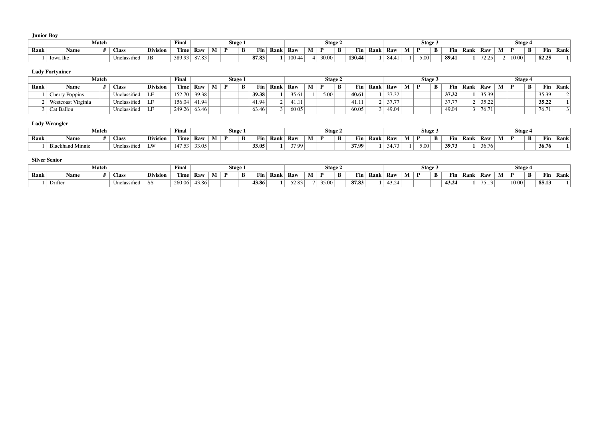**Junior Boy**

|      | Match    |  |              |                 | Final       |       |          | Stage |        |                     |      |        |   | Stage 2 |   |            |      |       |   | Stage 3 |   |       |             |            | Stage 4 |   |       |      |
|------|----------|--|--------------|-----------------|-------------|-------|----------|-------|--------|---------------------|------|--------|---|---------|---|------------|------|-------|---|---------|---|-------|-------------|------------|---------|---|-------|------|
| Rank | Name     |  | <b>Class</b> | <b>Division</b> | <b>Time</b> | Raw   | <b>M</b> |       | D<br>D | $\mathbf{r}$<br>Fin | Rank | Raw    | М | Ð       | B | <b>Fin</b> | Rank | Raw   | М | Ð       | B | Fin   | <b>Rank</b> | Raw        | Ð       | B | Fin   | Rank |
|      | lowa lke |  | Unclassified | JB              | 389.93      | 87.83 |          |       |        | 87.83               |      | 100.44 |   | 30.00   |   | 130.44     |      | 84.41 |   | 5.00    |   | 89.41 |             | 72.25<br>. | 10.00   |   | 82.25 |      |

### **Lady Fortyniner**

|      |                    | <b>Match</b> |                         |                 | Final        |       |  | Stage 1 |                  |      |       | Stage 2      |   |       |      |       |  | Stage 3 |       |      |       |              | Stage 4 |                |      |
|------|--------------------|--------------|-------------------------|-----------------|--------------|-------|--|---------|------------------|------|-------|--------------|---|-------|------|-------|--|---------|-------|------|-------|--------------|---------|----------------|------|
| Rank | Name               |              | <b>Class</b>            | <b>Division</b> | Time         | Raw   |  |         | Fin <sub>1</sub> | Rank | Raw   | $\mathbf{D}$ | B | Fin   | Rank | Raw   |  | B       | Fin   | Rank | Raw   | $\mathbf{M}$ | B.      | $\mathbf{Fin}$ | Rank |
|      | Cherry Poppins     |              | Unclassified            |                 | 152.70       | 39.38 |  |         | 39.38            |      | 35.61 | 5.00         |   | 40.61 |      | 37.32 |  |         | 37.32 |      | 35.39 |              |         | 35.39          |      |
|      | Westcoast Virginia |              | Unclassified   LF       |                 | 156.04       | 41.94 |  |         | 41.94            |      | 41.11 |              |   | 41.11 |      | 37.77 |  |         | 37.77 |      | 35.22 |              |         | 35.22          |      |
|      | Cat Ballou         |              | Unclassified $\vert$ LF |                 | 249.26 63.46 |       |  |         | 63.46            |      | 60.05 |              |   | 60.05 |      | 49.04 |  |         | 49.04 |      | 76.71 |              |         | 76.71          |      |

## **Lady Wrangler**

|             | Final<br>Match<br><b>CONTRACTOR</b> |  |              |                 |        |       |              | Stage 1 |                     |             |                |   |   | Stage ∠ |       |            |       |           | Stage. |                 |      |       |                  | Stage |                    |     |      |
|-------------|-------------------------------------|--|--------------|-----------------|--------|-------|--------------|---------|---------------------|-------------|----------------|---|---|---------|-------|------------|-------|-----------|--------|-----------------|------|-------|------------------|-------|--------------------|-----|------|
| <b>Rank</b> | Name                                |  | <b>Class</b> | <b>Division</b> | l'ime  | Raw   | $\mathbf{r}$ |         | $\mathbf{r}$<br>Fin | <b>Rank</b> | Raw            | M | D | В       | Fin   | n.<br>Kank | Raw   | $-$<br>M. |        | Fin<br>В<br>т п | Rank | Raw   | <b>B</b><br>IV L |       | $\mathbf{D}$<br>D. | Fin | Rank |
|             | <b>Blackhand Minnie</b>             |  | Unclassified | LW              | 147.53 | 33.05 |              |         | 33.05               |             | 2700<br>- 1.99 |   |   |         | 37.99 |            | 34.73 |           | 5.00   | 39.73           |      | 36.76 |                  |       | 36.76              |     |      |

#### **Silver Senior**

| Match |         |  |              |                 |        | Final<br>Stage: |          |  |  |       |      |                | Stage 2 |       |   |       |      |               |   | Stage.       |          |      | <b>Stage</b>                                                |   |       |   |       |      |
|-------|---------|--|--------------|-----------------|--------|-----------------|----------|--|--|-------|------|----------------|---------|-------|---|-------|------|---------------|---|--------------|----------|------|-------------------------------------------------------------|---|-------|---|-------|------|
| Rank  | Name    |  | <b>Class</b> | <b>Division</b> | Time   | Raw             | <b>B</b> |  |  | Fin.  | Rank | Raw            | M       | D     | B | Fin   | Rank | Raw           | M | <sup>n</sup> | B<br>Fin | Rank | Raw                                                         | M | Ð     | B | Fin   | Rank |
|       | Drifter |  | Unclassified |                 | 260.06 | 43.86           |          |  |  | 43.86 |      | 52.83<br>ر ں ب |         | 35.00 |   | 87.83 |      | 22.21<br>ص∠.د |   |              | 43.24    |      | $\mathbf{1}$ $\mathbf{2}$ $\mathbf{3}$ $\mathbf{4}$<br>D.I. |   | 10.00 |   | 85.13 |      |